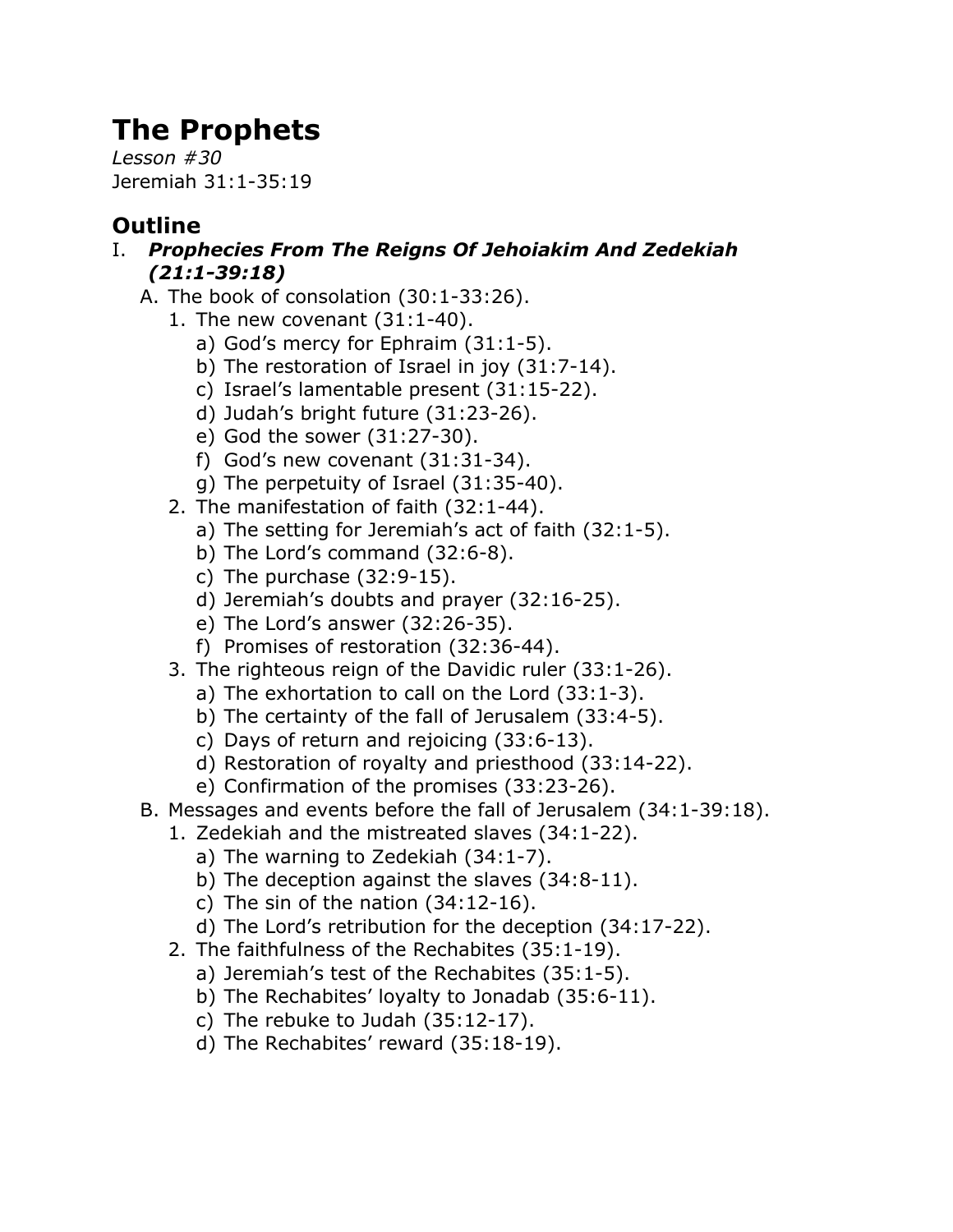## **The Prophets**

*Lesson #30* Jeremiah 31:1-35:19

## **Outline**

- I. *Prophecies From The Reigns Of Jehoiakim And Zedekiah (21:1-39:18)*
	- A. The book of consolation (30:1-33:26).
		- 1. The new covenant (31:1-40).
			- a) God's mercy for Ephraim (31:1-5).
			- b) The restoration of Israel in joy (31:7-14).
			- c) Israel's lamentable present (31:15-22).
			- d) Judah's bright future (31:23-26).
			- e) God the sower (31:27-30).
			- f) God's new covenant (31:31-34).
			- g) The perpetuity of Israel (31:35-40).
		- 2. The manifestation of faith (32:1-44).
			- a) The setting for Jeremiah's act of faith (32:1-5).
			- b) The Lord's command (32:6-8).
			- c) The purchase (32:9-15).
			- d) Jeremiah's doubts and prayer (32:16-25).
			- e) The Lord's answer (32:26-35).
			- f) Promises of restoration (32:36-44).
		- 3. The righteous reign of the Davidic ruler (33:1-26).
			- a) The exhortation to call on the Lord (33:1-3).
			- b) The certainty of the fall of Jerusalem (33:4-5).
			- c) Days of return and rejoicing (33:6-13).
			- d) Restoration of royalty and priesthood (33:14-22).
			- e) Confirmation of the promises (33:23-26).
	- B. Messages and events before the fall of Jerusalem (34:1-39:18).
		- 1. Zedekiah and the mistreated slaves (34:1-22).
			- a) The warning to Zedekiah (34:1-7).
			- b) The deception against the slaves (34:8-11).
			- c) The sin of the nation  $(34:12-16)$ .
			- d) The Lord's retribution for the deception (34:17-22).
		- 2. The faithfulness of the Rechabites (35:1-19).
			- a) Jeremiah's test of the Rechabites (35:1-5).
			- b) The Rechabites' loyalty to Jonadab (35:6-11).
			- c) The rebuke to Judah (35:12-17).
			- d) The Rechabites' reward (35:18-19).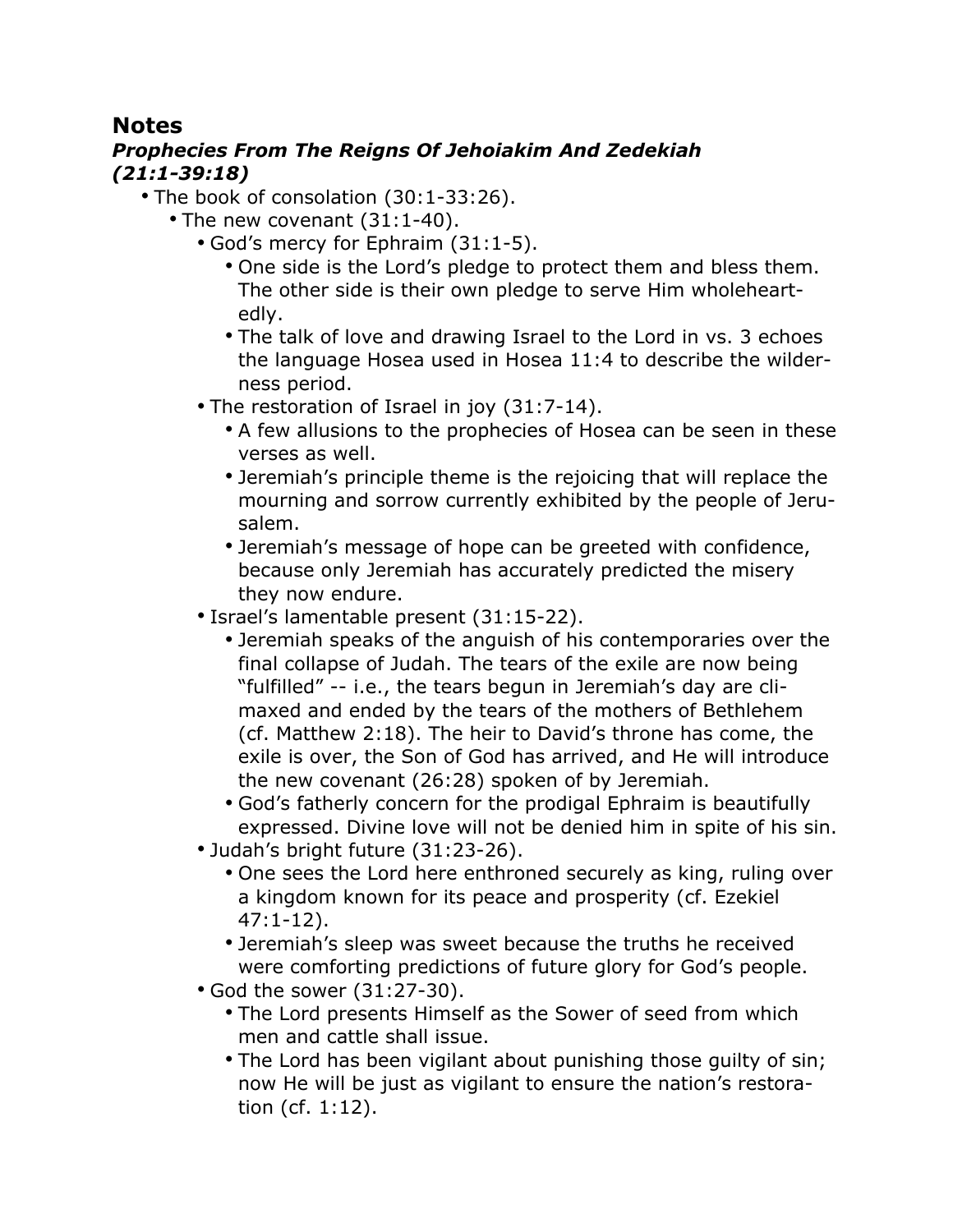## **Notes**

## *Prophecies From The Reigns Of Jehoiakim And Zedekiah (21:1-39:18)*

- The book of consolation (30:1-33:26).
	- The new covenant (31:1-40).
		- God's mercy for Ephraim (31:1-5).
			- One side is the Lord's pledge to protect them and bless them. The other side is their own pledge to serve Him wholeheartedly.
			- The talk of love and drawing Israel to the Lord in vs. 3 echoes the language Hosea used in Hosea 11:4 to describe the wilderness period.
		- The restoration of Israel in joy (31:7-14).
			- A few allusions to the prophecies of Hosea can be seen in these verses as well.
			- Jeremiah's principle theme is the rejoicing that will replace the mourning and sorrow currently exhibited by the people of Jerusalem.
			- Jeremiah's message of hope can be greeted with confidence, because only Jeremiah has accurately predicted the misery they now endure.
		- Israel's lamentable present (31:15-22).
			- Jeremiah speaks of the anguish of his contemporaries over the final collapse of Judah. The tears of the exile are now being "fulfilled" -- i.e., the tears begun in Jeremiah's day are climaxed and ended by the tears of the mothers of Bethlehem (cf. Matthew 2:18). The heir to David's throne has come, the exile is over, the Son of God has arrived, and He will introduce the new covenant (26:28) spoken of by Jeremiah.
			- God's fatherly concern for the prodigal Ephraim is beautifully expressed. Divine love will not be denied him in spite of his sin.
		- Judah's bright future (31:23-26).
			- One sees the Lord here enthroned securely as king, ruling over a kingdom known for its peace and prosperity (cf. Ezekiel 47:1-12).
			- Jeremiah's sleep was sweet because the truths he received were comforting predictions of future glory for God's people.
		- God the sower (31:27-30).
			- The Lord presents Himself as the Sower of seed from which men and cattle shall issue.
			- The Lord has been vigilant about punishing those guilty of sin; now He will be just as vigilant to ensure the nation's restoration (cf. 1:12).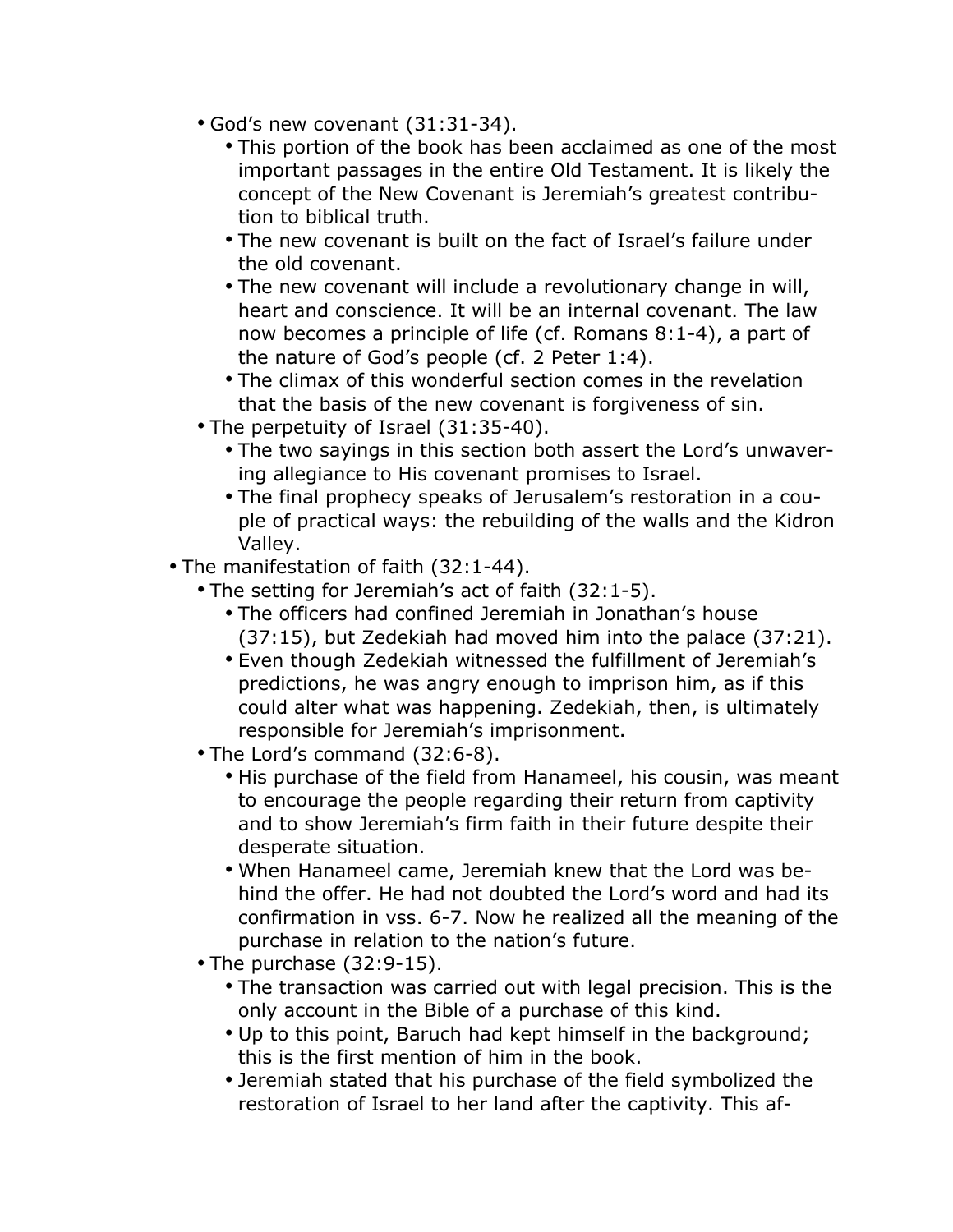- God's new covenant (31:31-34).
	- This portion of the book has been acclaimed as one of the most important passages in the entire Old Testament. It is likely the concept of the New Covenant is Jeremiah's greatest contribution to biblical truth.
	- The new covenant is built on the fact of Israel's failure under the old covenant.
	- The new covenant will include a revolutionary change in will, heart and conscience. It will be an internal covenant. The law now becomes a principle of life (cf. Romans 8:1-4), a part of the nature of God's people (cf. 2 Peter 1:4).
	- The climax of this wonderful section comes in the revelation that the basis of the new covenant is forgiveness of sin.
- The perpetuity of Israel (31:35-40).
	- The two sayings in this section both assert the Lord's unwavering allegiance to His covenant promises to Israel.
	- The final prophecy speaks of Jerusalem's restoration in a couple of practical ways: the rebuilding of the walls and the Kidron Valley.
- The manifestation of faith (32:1-44).
	- The setting for Jeremiah's act of faith (32:1-5).
		- The officers had confined Jeremiah in Jonathan's house (37:15), but Zedekiah had moved him into the palace (37:21).
		- Even though Zedekiah witnessed the fulfillment of Jeremiah's predictions, he was angry enough to imprison him, as if this could alter what was happening. Zedekiah, then, is ultimately responsible for Jeremiah's imprisonment.
	- The Lord's command (32:6-8).
		- His purchase of the field from Hanameel, his cousin, was meant to encourage the people regarding their return from captivity and to show Jeremiah's firm faith in their future despite their desperate situation.
		- When Hanameel came, Jeremiah knew that the Lord was behind the offer. He had not doubted the Lord's word and had its confirmation in vss. 6-7. Now he realized all the meaning of the purchase in relation to the nation's future.
	- The purchase (32:9-15).
		- The transaction was carried out with legal precision. This is the only account in the Bible of a purchase of this kind.
		- Up to this point, Baruch had kept himself in the background; this is the first mention of him in the book.
		- Jeremiah stated that his purchase of the field symbolized the restoration of Israel to her land after the captivity. This af-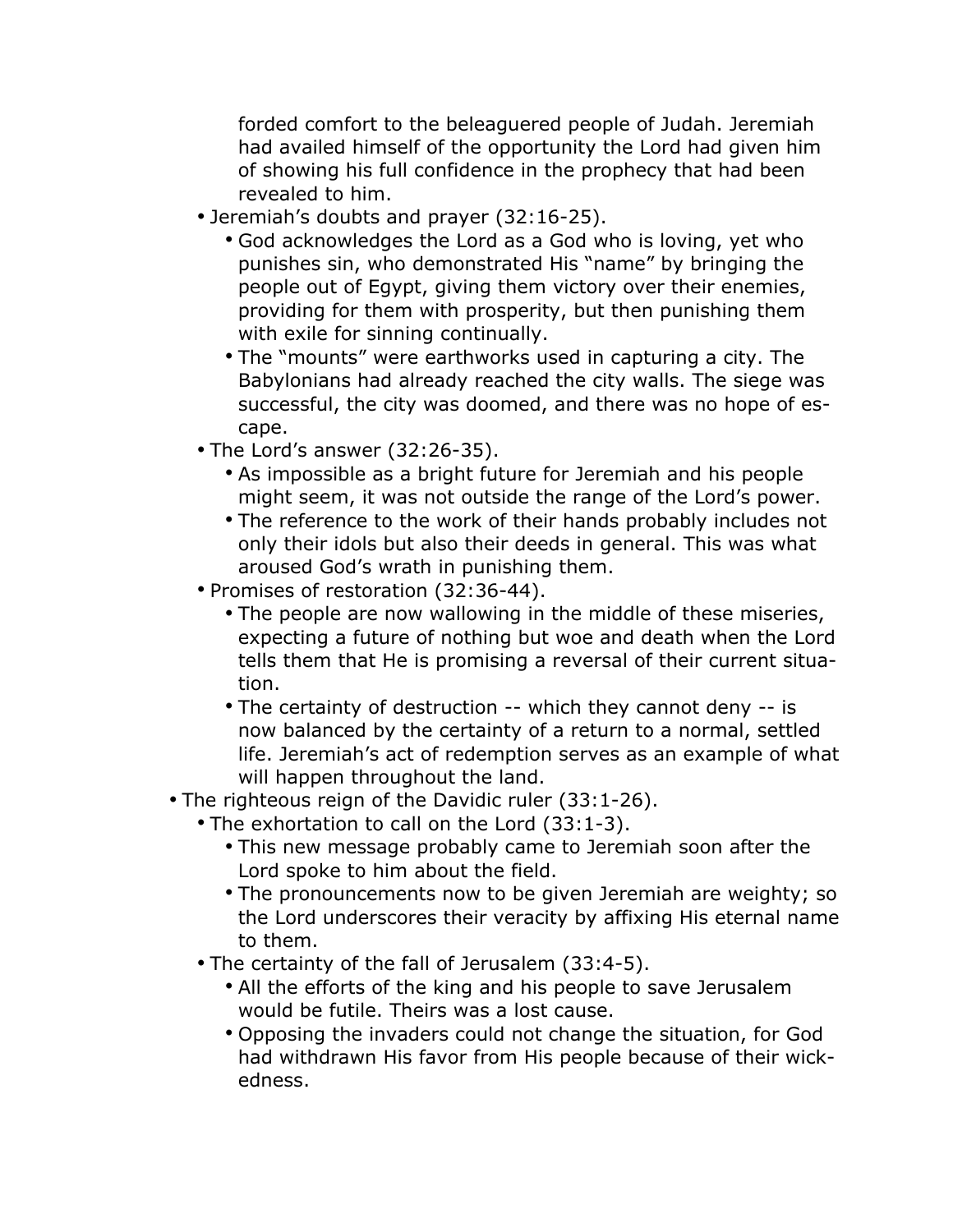forded comfort to the beleaguered people of Judah. Jeremiah had availed himself of the opportunity the Lord had given him of showing his full confidence in the prophecy that had been revealed to him.

- Jeremiah's doubts and prayer (32:16-25).
	- God acknowledges the Lord as a God who is loving, yet who punishes sin, who demonstrated His "name" by bringing the people out of Egypt, giving them victory over their enemies, providing for them with prosperity, but then punishing them with exile for sinning continually.
	- The "mounts" were earthworks used in capturing a city. The Babylonians had already reached the city walls. The siege was successful, the city was doomed, and there was no hope of escape.
- The Lord's answer (32:26-35).
	- As impossible as a bright future for Jeremiah and his people might seem, it was not outside the range of the Lord's power.
	- The reference to the work of their hands probably includes not only their idols but also their deeds in general. This was what aroused God's wrath in punishing them.
- Promises of restoration (32:36-44).
	- The people are now wallowing in the middle of these miseries, expecting a future of nothing but woe and death when the Lord tells them that He is promising a reversal of their current situation.
	- The certainty of destruction -- which they cannot deny -- is now balanced by the certainty of a return to a normal, settled life. Jeremiah's act of redemption serves as an example of what will happen throughout the land.
- The righteous reign of the Davidic ruler (33:1-26).
	- The exhortation to call on the Lord (33:1-3).
		- This new message probably came to Jeremiah soon after the Lord spoke to him about the field.
		- The pronouncements now to be given Jeremiah are weighty; so the Lord underscores their veracity by affixing His eternal name to them.
	- The certainty of the fall of Jerusalem (33:4-5).
		- All the efforts of the king and his people to save Jerusalem would be futile. Theirs was a lost cause.
		- Opposing the invaders could not change the situation, for God had withdrawn His favor from His people because of their wickedness.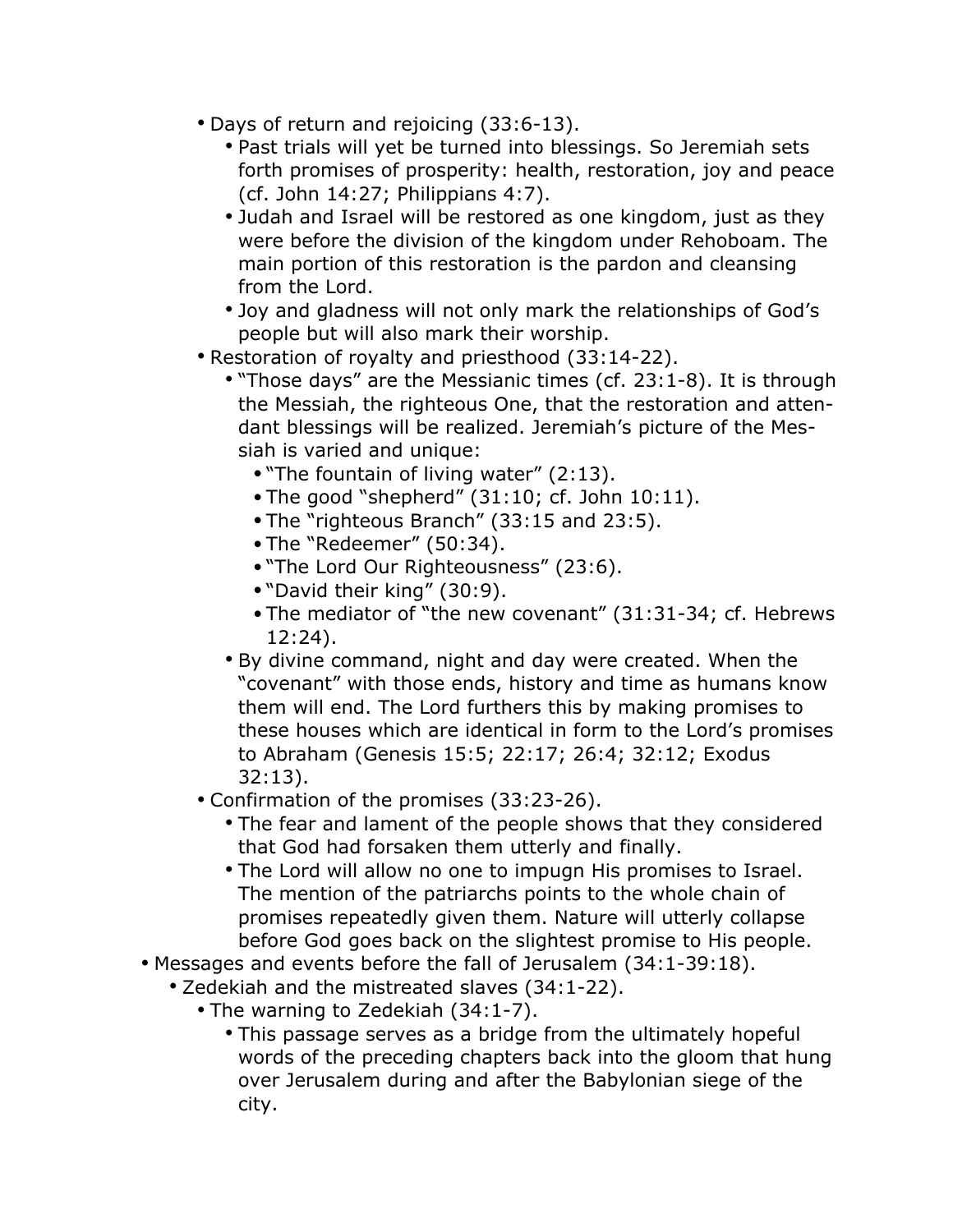- Days of return and rejoicing (33:6-13).
	- Past trials will yet be turned into blessings. So Jeremiah sets forth promises of prosperity: health, restoration, joy and peace (cf. John 14:27; Philippians 4:7).
	- Judah and Israel will be restored as one kingdom, just as they were before the division of the kingdom under Rehoboam. The main portion of this restoration is the pardon and cleansing from the Lord.
	- Joy and gladness will not only mark the relationships of God's people but will also mark their worship.
- Restoration of royalty and priesthood (33:14-22).
	- "Those days" are the Messianic times (cf. 23:1-8). It is through the Messiah, the righteous One, that the restoration and attendant blessings will be realized. Jeremiah's picture of the Messiah is varied and unique:
		- •"The fountain of living water" (2:13).
		- •The good "shepherd" (31:10; cf. John 10:11).
		- •The "righteous Branch" (33:15 and 23:5).
		- •The "Redeemer" (50:34).
		- •"The Lord Our Righteousness" (23:6).
		- •"David their king" (30:9).
		- •The mediator of "the new covenant" (31:31-34; cf. Hebrews 12:24).
	- By divine command, night and day were created. When the "covenant" with those ends, history and time as humans know them will end. The Lord furthers this by making promises to these houses which are identical in form to the Lord's promises to Abraham (Genesis 15:5; 22:17; 26:4; 32:12; Exodus 32:13).
- Confirmation of the promises (33:23-26).
	- The fear and lament of the people shows that they considered that God had forsaken them utterly and finally.
	- The Lord will allow no one to impugn His promises to Israel. The mention of the patriarchs points to the whole chain of promises repeatedly given them. Nature will utterly collapse before God goes back on the slightest promise to His people.
- Messages and events before the fall of Jerusalem (34:1-39:18).
	- Zedekiah and the mistreated slaves (34:1-22).
		- The warning to Zedekiah (34:1-7).
			- This passage serves as a bridge from the ultimately hopeful words of the preceding chapters back into the gloom that hung over Jerusalem during and after the Babylonian siege of the city.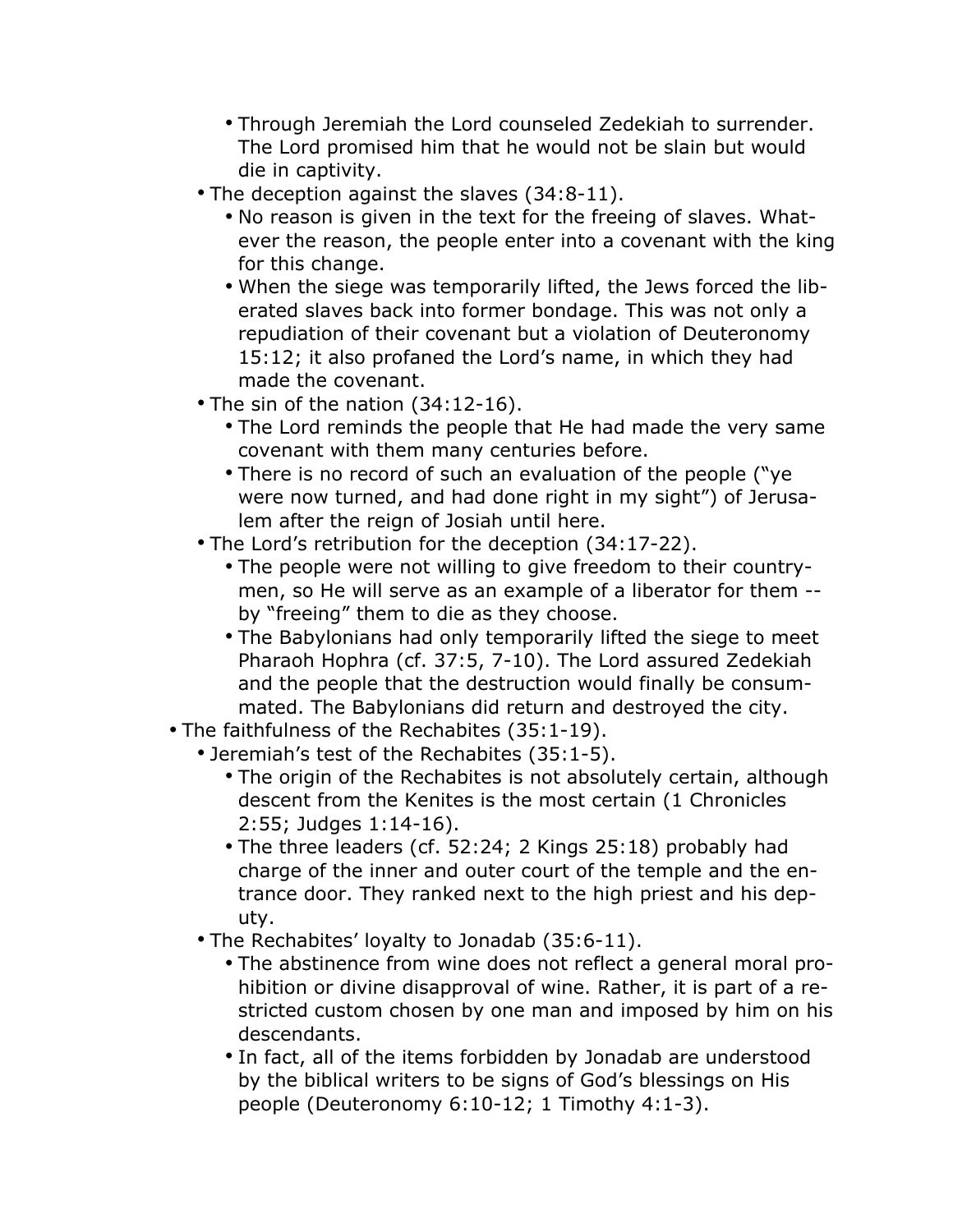- Through Jeremiah the Lord counseled Zedekiah to surrender. The Lord promised him that he would not be slain but would die in captivity.
- The deception against the slaves (34:8-11).
	- No reason is given in the text for the freeing of slaves. Whatever the reason, the people enter into a covenant with the king for this change.
	- When the siege was temporarily lifted, the Jews forced the liberated slaves back into former bondage. This was not only a repudiation of their covenant but a violation of Deuteronomy 15:12; it also profaned the Lord's name, in which they had made the covenant.
- The sin of the nation (34:12-16).
	- The Lord reminds the people that He had made the very same covenant with them many centuries before.
	- There is no record of such an evaluation of the people ("ye were now turned, and had done right in my sight") of Jerusalem after the reign of Josiah until here.
- The Lord's retribution for the deception (34:17-22).
	- The people were not willing to give freedom to their countrymen, so He will serve as an example of a liberator for them - by "freeing" them to die as they choose.
	- The Babylonians had only temporarily lifted the siege to meet Pharaoh Hophra (cf. 37:5, 7-10). The Lord assured Zedekiah and the people that the destruction would finally be consummated. The Babylonians did return and destroyed the city.
- The faithfulness of the Rechabites (35:1-19).
	- Jeremiah's test of the Rechabites (35:1-5).
		- The origin of the Rechabites is not absolutely certain, although descent from the Kenites is the most certain (1 Chronicles 2:55; Judges 1:14-16).
		- The three leaders (cf. 52:24; 2 Kings 25:18) probably had charge of the inner and outer court of the temple and the entrance door. They ranked next to the high priest and his deputy.
	- The Rechabites' loyalty to Jonadab (35:6-11).
		- The abstinence from wine does not reflect a general moral prohibition or divine disapproval of wine. Rather, it is part of a restricted custom chosen by one man and imposed by him on his descendants.
		- In fact, all of the items forbidden by Jonadab are understood by the biblical writers to be signs of God's blessings on His people (Deuteronomy 6:10-12; 1 Timothy 4:1-3).